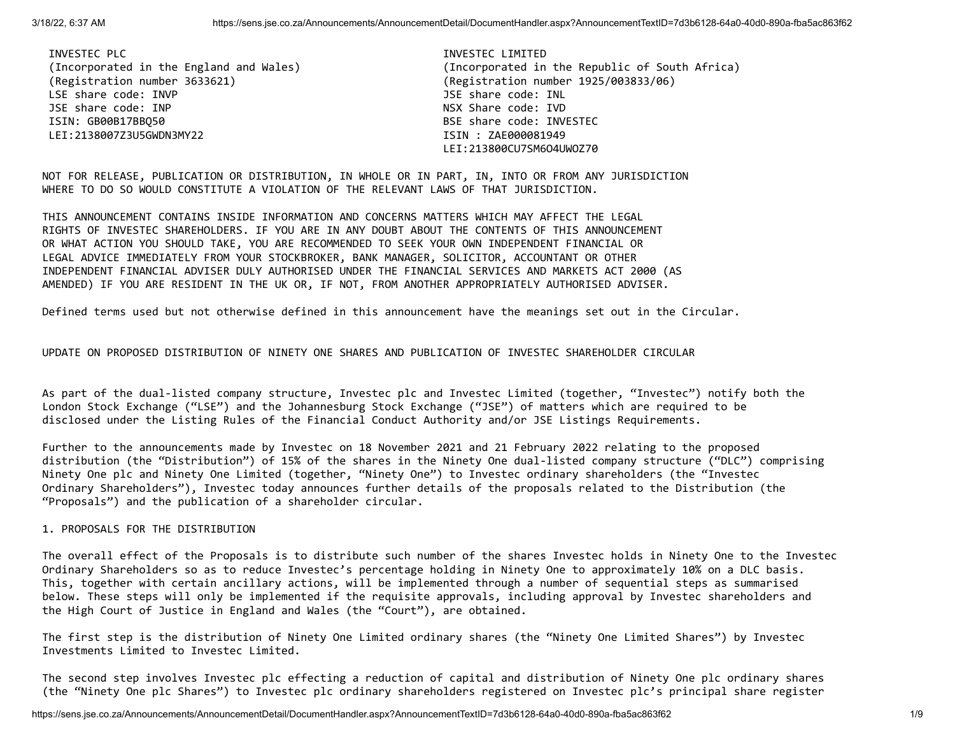INVESTEC PLC **INVESTEC PLACE INVESTEC LIMITED**  (Registration number 3633621) (Registration number 1925/003833/06) LSE share code: INVP JSE share code: INL JSE share code: INP NSX Share code: IVD ISIN: GB00B17BBQ50 BSE share code: INVESTEC LEI:2138007Z3U5GWDN3MY22 ISIN : ZAE000081949

 (Incorporated in the England and Wales) (Incorporated in the Republic of South Africa) LEI:213800CU7SM6O4UWOZ70

NOT FOR RELEASE, PUBLICATION OR DISTRIBUTION, IN WHOLE OR IN PART, IN, INTO OR FROM ANY JURISDICTION WHERE TO DO SO WOULD CONSTITUTE A VIOLATION OF THE RELEVANT LAWS OF THAT JURISDICTION.

THIS ANNOUNCEMENT CONTAINS INSIDE INFORMATION AND CONCERNS MATTERS WHICH MAY AFFECT THE LEGAL RIGHTS OF INVESTEC SHAREHOLDERS. IF YOU ARE IN ANY DOUBT ABOUT THE CONTENTS OF THIS ANNOUNCEMENT OR WHAT ACTION YOU SHOULD TAKE, YOU ARE RECOMMENDED TO SEEK YOUR OWN INDEPENDENT FINANCIAL OR LEGAL ADVICE IMMEDIATELY FROM YOUR STOCKBROKER, BANK MANAGER, SOLICITOR, ACCOUNTANT OR OTHER INDEPENDENT FINANCIAL ADVISER DULY AUTHORISED UNDER THE FINANCIAL SERVICES AND MARKETS ACT 2000 (AS AMENDED) IF YOU ARE RESIDENT IN THE UK OR, IF NOT, FROM ANOTHER APPROPRIATELY AUTHORISED ADVISER.

Defined terms used but not otherwise defined in this announcement have the meanings set out in the Circular.

UPDATE ON PROPOSED DISTRIBUTION OF NINETY ONE SHARES AND PUBLICATION OF INVESTEC SHAREHOLDER CIRCULAR

As part of the dual-listed company structure, Investec plc and Investec Limited (together, "Investec") notify both the London Stock Exchange ("LSE") and the Johannesburg Stock Exchange ("JSE") of matters which are required to be disclosed under the Listing Rules of the Financial Conduct Authority and/or JSE Listings Requirements.

Further to the announcements made by Investec on 18 November 2021 and 21 February 2022 relating to the proposed distribution (the "Distribution") of 15% of the shares in the Ninety One dual-listed company structure ("DLC") comprising Ninety One plc and Ninety One Limited (together, "Ninety One") to Investec ordinary shareholders (the "Investec Ordinary Shareholders"), Investec today announces further details of the proposals related to the Distribution (the "Proposals") and the publication of a shareholder circular.

### 1. PROPOSALS FOR THE DISTRIBUTION

The overall effect of the Proposals is to distribute such number of the shares Investec holds in Ninety One to the Investec Ordinary Shareholders so as to reduce Investec's percentage holding in Ninety One to approximately 10% on a DLC basis. This, together with certain ancillary actions, will be implemented through a number of sequential steps as summarised below. These steps will only be implemented if the requisite approvals, including approval by Investec shareholders and the High Court of Justice in England and Wales (the "Court"), are obtained.

The first step is the distribution of Ninety One Limited ordinary shares (the "Ninety One Limited Shares") by Investec Investments Limited to Investec Limited.

The second step involves Investec plc effecting a reduction of capital and distribution of Ninety One plc ordinary shares (the "Ninety One plc Shares") to Investec plc ordinary shareholders registered on Investec plc's principal share register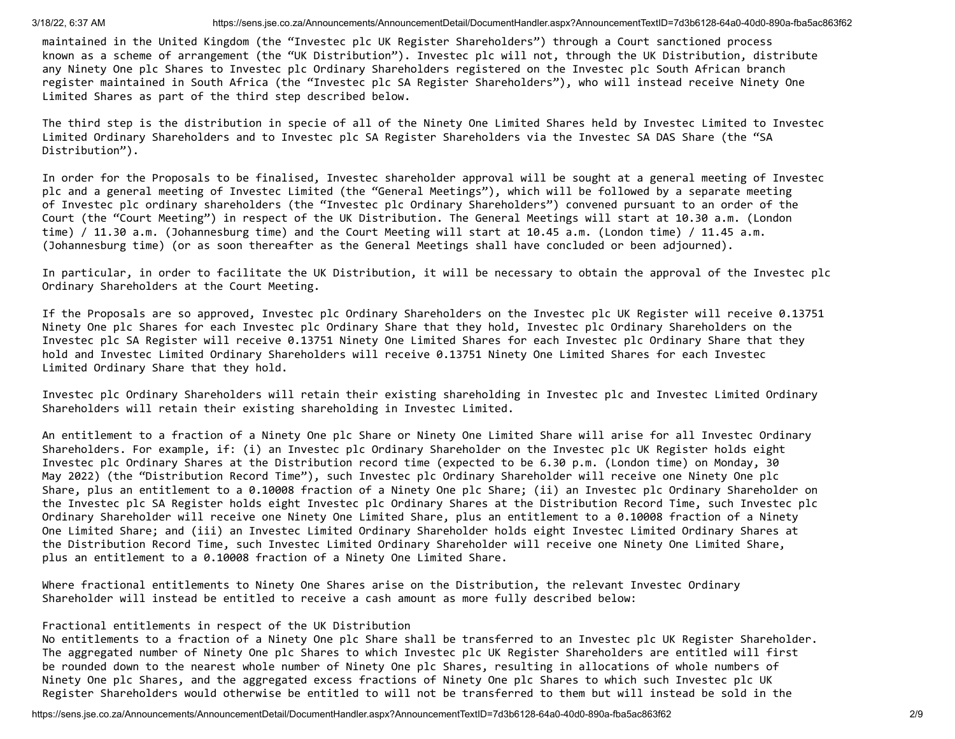maintained in the United Kingdom (the "Investec plc UK Register Shareholders") through a Court sanctioned process known as a scheme of arrangement (the "UK Distribution"). Investec plc will not, through the UK Distribution, distribute any Ninety One plc Shares to Investec plc Ordinary Shareholders registered on the Investec plc South African branch register maintained in South Africa (the "Investec plc SA Register Shareholders"), who will instead receive Ninety One Limited Shares as part of the third step described below.

The third step is the distribution in specie of all of the Ninety One Limited Shares held by Investec Limited to Investec Limited Ordinary Shareholders and to Investec plc SA Register Shareholders via the Investec SA DAS Share (the "SA Distribution").

In order for the Proposals to be finalised, Investec shareholder approval will be sought at a general meeting of Investec plc and a general meeting of Investec Limited (the "General Meetings"), which will be followed by a separate meeting of Investec plc ordinary shareholders (the "Investec plc Ordinary Shareholders") convened pursuant to an order of the Court (the "Court Meeting") in respect of the UK Distribution. The General Meetings will start at 10.30 a.m. (London time) / 11.30 a.m. (Johannesburg time) and the Court Meeting will start at 10.45 a.m. (London time) / 11.45 a.m. (Johannesburg time) (or as soon thereafter as the General Meetings shall have concluded or been adjourned).

In particular, in order to facilitate the UK Distribution, it will be necessary to obtain the approval of the Investec plc Ordinary Shareholders at the Court Meeting.

If the Proposals are so approved, Investec plc Ordinary Shareholders on the Investec plc UK Register will receive 0.13751 Ninety One plc Shares for each Investec plc Ordinary Share that they hold, Investec plc Ordinary Shareholders on the Investec plc SA Register will receive 0.13751 Ninety One Limited Shares for each Investec plc Ordinary Share that they hold and Investec Limited Ordinary Shareholders will receive 0.13751 Ninety One Limited Shares for each Investec Limited Ordinary Share that they hold.

Investec plc Ordinary Shareholders will retain their existing shareholding in Investec plc and Investec Limited Ordinary Shareholders will retain their existing shareholding in Investec Limited.

An entitlement to a fraction of a Ninety One plc Share or Ninety One Limited Share will arise for all Investec Ordinary Shareholders. For example, if: (i) an Investec plc Ordinary Shareholder on the Investec plc UK Register holds eight Investec plc Ordinary Shares at the Distribution record time (expected to be 6.30 p.m. (London time) on Monday, 30 May 2022) (the "Distribution Record Time"), such Investec plc Ordinary Shareholder will receive one Ninety One plc Share, plus an entitlement to a 0.10008 fraction of a Ninety One plc Share; (ii) an Investec plc Ordinary Shareholder on the Investec plc SA Register holds eight Investec plc Ordinary Shares at the Distribution Record Time, such Investec plc Ordinary Shareholder will receive one Ninety One Limited Share, plus an entitlement to a 0.10008 fraction of a Ninety One Limited Share; and (iii) an Investec Limited Ordinary Shareholder holds eight Investec Limited Ordinary Shares at the Distribution Record Time, such Investec Limited Ordinary Shareholder will receive one Ninety One Limited Share, plus an entitlement to a 0.10008 fraction of a Ninety One Limited Share.

Where fractional entitlements to Ninety One Shares arise on the Distribution, the relevant Investec Ordinary Shareholder will instead be entitled to receive a cash amount as more fully described below:

## Fractional entitlements in respect of the UK Distribution

No entitlements to a fraction of a Ninety One plc Share shall be transferred to an Investec plc UK Register Shareholder. The aggregated number of Ninety One plc Shares to which Investec plc UK Register Shareholders are entitled will first be rounded down to the nearest whole number of Ninety One plc Shares, resulting in allocations of whole numbers of Ninety One plc Shares, and the aggregated excess fractions of Ninety One plc Shares to which such Investec plc UK Register Shareholders would otherwise be entitled to will not be transferred to them but will instead be sold in the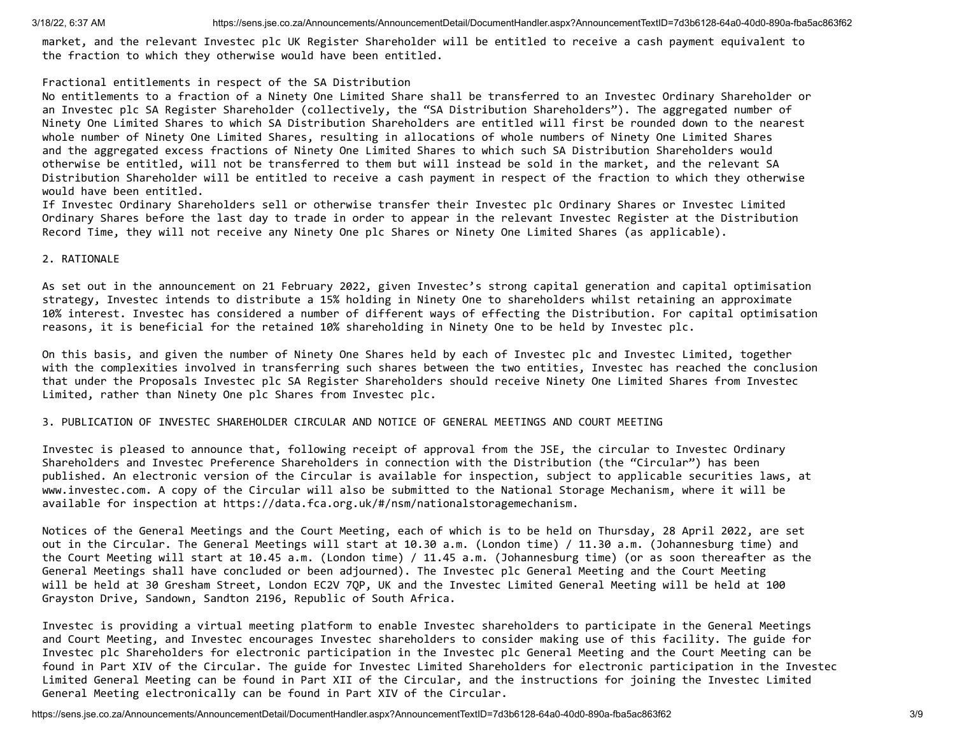market, and the relevant Investec plc UK Register Shareholder will be entitled to receive a cash payment equivalent to the fraction to which they otherwise would have been entitled.

## Fractional entitlements in respect of the SA Distribution

No entitlements to a fraction of a Ninety One Limited Share shall be transferred to an Investec Ordinary Shareholder or an Investec plc SA Register Shareholder (collectively, the "SA Distribution Shareholders"). The aggregated number of Ninety One Limited Shares to which SA Distribution Shareholders are entitled will first be rounded down to the nearest whole number of Ninety One Limited Shares, resulting in allocations of whole numbers of Ninety One Limited Shares and the aggregated excess fractions of Ninety One Limited Shares to which such SA Distribution Shareholders would otherwise be entitled, will not be transferred to them but will instead be sold in the market, and the relevant SA Distribution Shareholder will be entitled to receive a cash payment in respect of the fraction to which they otherwise would have been entitled.

If Investec Ordinary Shareholders sell or otherwise transfer their Investec plc Ordinary Shares or Investec Limited Ordinary Shares before the last day to trade in order to appear in the relevant Investec Register at the Distribution Record Time, they will not receive any Ninety One plc Shares or Ninety One Limited Shares (as applicable).

## 2. RATIONALE

As set out in the announcement on 21 February 2022, given Investec's strong capital generation and capital optimisation strategy, Investec intends to distribute a 15% holding in Ninety One to shareholders whilst retaining an approximate 10% interest. Investec has considered a number of different ways of effecting the Distribution. For capital optimisation reasons, it is beneficial for the retained 10% shareholding in Ninety One to be held by Investec plc.

On this basis, and given the number of Ninety One Shares held by each of Investec plc and Investec Limited, together with the complexities involved in transferring such shares between the two entities, Investec has reached the conclusion that under the Proposals Investec plc SA Register Shareholders should receive Ninety One Limited Shares from Investec Limited, rather than Ninety One plc Shares from Investec plc.

## 3. PUBLICATION OF INVESTEC SHAREHOLDER CIRCULAR AND NOTICE OF GENERAL MEETINGS AND COURT MEETING

Investec is pleased to announce that, following receipt of approval from the JSE, the circular to Investec Ordinary Shareholders and Investec Preference Shareholders in connection with the Distribution (the "Circular") has been published. An electronic version of the Circular is available for inspection, subject to applicable securities laws, at www.investec.com. A copy of the Circular will also be submitted to the National Storage Mechanism, where it will be available for inspection at https://data.fca.org.uk/#/nsm/nationalstoragemechanism.

Notices of the General Meetings and the Court Meeting, each of which is to be held on Thursday, 28 April 2022, are set out in the Circular. The General Meetings will start at 10.30 a.m. (London time) / 11.30 a.m. (Johannesburg time) and the Court Meeting will start at 10.45 a.m. (London time) / 11.45 a.m. (Johannesburg time) (or as soon thereafter as the General Meetings shall have concluded or been adjourned). The Investec plc General Meeting and the Court Meeting will be held at 30 Gresham Street, London EC2V 7QP, UK and the Investec Limited General Meeting will be held at 100 Grayston Drive, Sandown, Sandton 2196, Republic of South Africa.

Investec is providing a virtual meeting platform to enable Investec shareholders to participate in the General Meetings and Court Meeting, and Investec encourages Investec shareholders to consider making use of this facility. The guide for Investec plc Shareholders for electronic participation in the Investec plc General Meeting and the Court Meeting can be found in Part XIV of the Circular. The guide for Investec Limited Shareholders for electronic participation in the Investec Limited General Meeting can be found in Part XII of the Circular, and the instructions for joining the Investec Limited General Meeting electronically can be found in Part XIV of the Circular.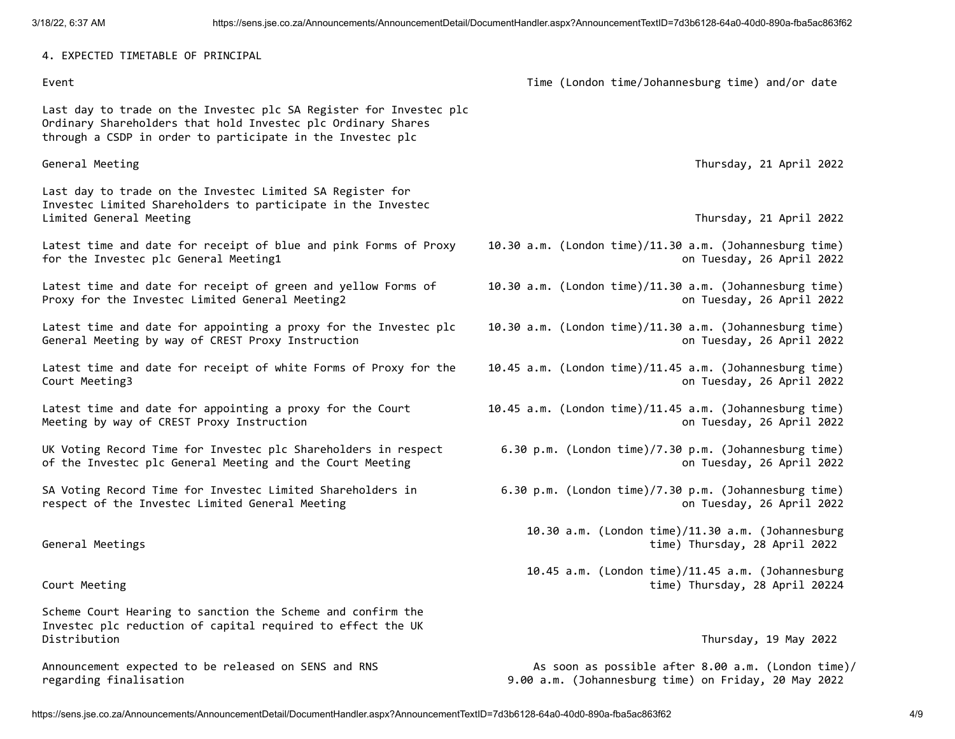4. EXPECTED TIMETABLE OF PRINCIPAL

Last day to trade on the Investec plc SA Register for Investec plc Ordinary Shareholders that hold Investec plc Ordinary Shares through a CSDP in order to participate in the Investec plc

Last day to trade on the Investec Limited SA Register for Investec Limited Shareholders to participate in the Investec Limited General Meeting Thursday, 21 April 2022

Latest time and date for receipt of blue and pink Forms of Proxy 10.30 a.m. (London time)/11.30 a.m. (Johannesburg time) for the Investec plc General Meeting1 **being the Investigate on Tuesday, 26 April 2022** 

Latest time and date for receipt of green and yellow Forms of 10.30 a.m. (London time)/11.30 a.m. (Johannesburg time) Proxy for the Investec Limited General Meeting2 **by the Internal According Control** Controllery on Tuesday, 26 April 2022

Latest time and date for appointing a proxy for the Investec plc 10.30 a.m. (London time)/11.30 a.m. (Johannesburg time) General Meeting by way of CREST Proxy Instruction **Cameral Access 2008** 6 April 2022

Latest time and date for receipt of white Forms of Proxy for the 10.45 a.m. (London time)/11.45 a.m. (Johannesburg time) Court Meeting3 on Tuesday, 26 April 2022

Meeting by way of CREST Proxy Instruction on Tuesday, 26 April 2022

UK Voting Record Time for Investec plc Shareholders in respect 6.30 p.m. (London time)/7.30 p.m. (Johannesburg time) of the Investec plc General Meeting and the Court Meeting on Tuesday, 26 April 2022

SA Voting Record Time for Investec Limited Shareholders in 6.30 p.m. (London time)/7.30 p.m. (Johannesburg time) respect of the Investec Limited General Meeting and the interval on Tuesday, 26 April 2022

Scheme Court Hearing to sanction the Scheme and confirm the Investec plc reduction of capital required to effect the UK Distribution Thursday, 19 May 2022

regarding finalisation 9.00 a.m. (Johannesburg time) on Friday, 20 May 2022

Event Time (London time/Johannesburg time) and/or date

General Meeting Thursday, 21 April 2022

- 
- 
- 
- 
- Latest time and date for appointing a proxy for the Court 10.45 a.m. (London time)/11.45 a.m. (Johannesburg time)
	-
	-
- 10.30 a.m. (London time)/11.30 a.m. (Johannesburg General Meetings time) Thursday, 28 April 2022
- 10.45 a.m. (London time)/11.45 a.m. (Johannesburg Court Meeting time) Thursday, 28 April 20224

Announcement expected to be released on SENS and RNS As soon as possible after 8.00 a.m. (London time)/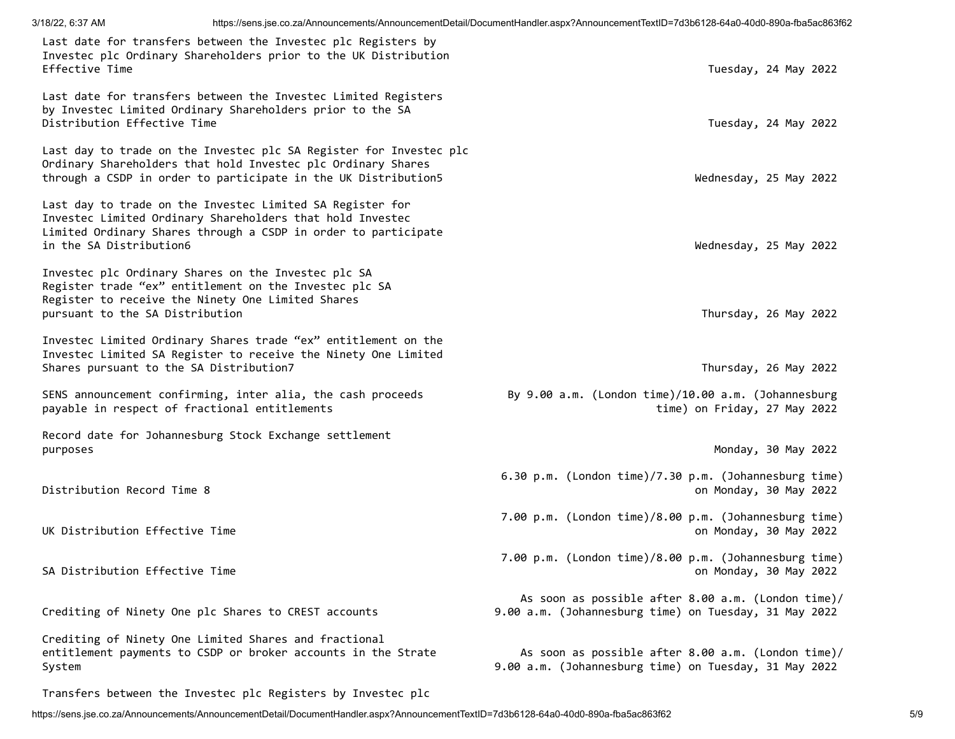| Last date for transfers between the Investec plc Registers by<br>Investec plc Ordinary Shareholders prior to the UK Distribution<br>Effective Time                                                                  | Tuesday, 24 May 2022                                                                                        |
|---------------------------------------------------------------------------------------------------------------------------------------------------------------------------------------------------------------------|-------------------------------------------------------------------------------------------------------------|
| Last date for transfers between the Investec Limited Registers<br>by Investec Limited Ordinary Shareholders prior to the SA<br>Distribution Effective Time                                                          | Tuesday, 24 May 2022                                                                                        |
| Last day to trade on the Investec plc SA Register for Investec plc<br>Ordinary Shareholders that hold Investec plc Ordinary Shares<br>through a CSDP in order to participate in the UK Distribution5                | Wednesday, 25 May 2022                                                                                      |
| Last day to trade on the Investec Limited SA Register for<br>Investec Limited Ordinary Shareholders that hold Investec<br>Limited Ordinary Shares through a CSDP in order to participate<br>in the SA Distribution6 | Wednesday, 25 May 2022                                                                                      |
| Investec plc Ordinary Shares on the Investec plc SA<br>Register trade "ex" entitlement on the Investec plc SA<br>Register to receive the Ninety One Limited Shares<br>pursuant to the SA Distribution               | Thursday, 26 May 2022                                                                                       |
| Investec Limited Ordinary Shares trade "ex" entitlement on the<br>Investec Limited SA Register to receive the Ninety One Limited<br>Shares pursuant to the SA Distribution7                                         | Thursday, 26 May 2022                                                                                       |
| SENS announcement confirming, inter alia, the cash proceeds<br>payable in respect of fractional entitlements                                                                                                        | By 9.00 a.m. (London time)/10.00 a.m. (Johannesburg<br>time) on Friday, 27 May 2022                         |
| Record date for Johannesburg Stock Exchange settlement<br>purposes                                                                                                                                                  | Monday, 30 May 2022                                                                                         |
| Distribution Record Time 8                                                                                                                                                                                          | 6.30 p.m. (London time)/7.30 p.m. (Johannesburg time)<br>on Monday, 30 May 2022                             |
| UK Distribution Effective Time                                                                                                                                                                                      | 7.00 p.m. (London time)/8.00 p.m. (Johannesburg time)<br>on Monday, 30 May 2022                             |
| SA Distribution Effective Time                                                                                                                                                                                      | 7.00 p.m. (London time)/8.00 p.m. (Johannesburg time)<br>on Monday, 30 May 2022                             |
| Crediting of Ninety One plc Shares to CREST accounts                                                                                                                                                                | As soon as possible after 8.00 a.m. (London time)/<br>9.00 a.m. (Johannesburg time) on Tuesday, 31 May 2022 |
| Crediting of Ninety One Limited Shares and fractional<br>entitlement payments to CSDP or broker accounts in the Strate<br>System                                                                                    | As soon as possible after 8.00 a.m. (London time)/<br>9.00 a.m. (Johannesburg time) on Tuesday, 31 May 2022 |
| Transfers between the Investec plc Registers by Investec plc                                                                                                                                                        |                                                                                                             |

https://sens.jse.co.za/Announcements/AnnouncementDetail/DocumentHandler.aspx?AnnouncementTextID=7d3b6128-64a0-40d0-890a-fba5ac863f62 5/9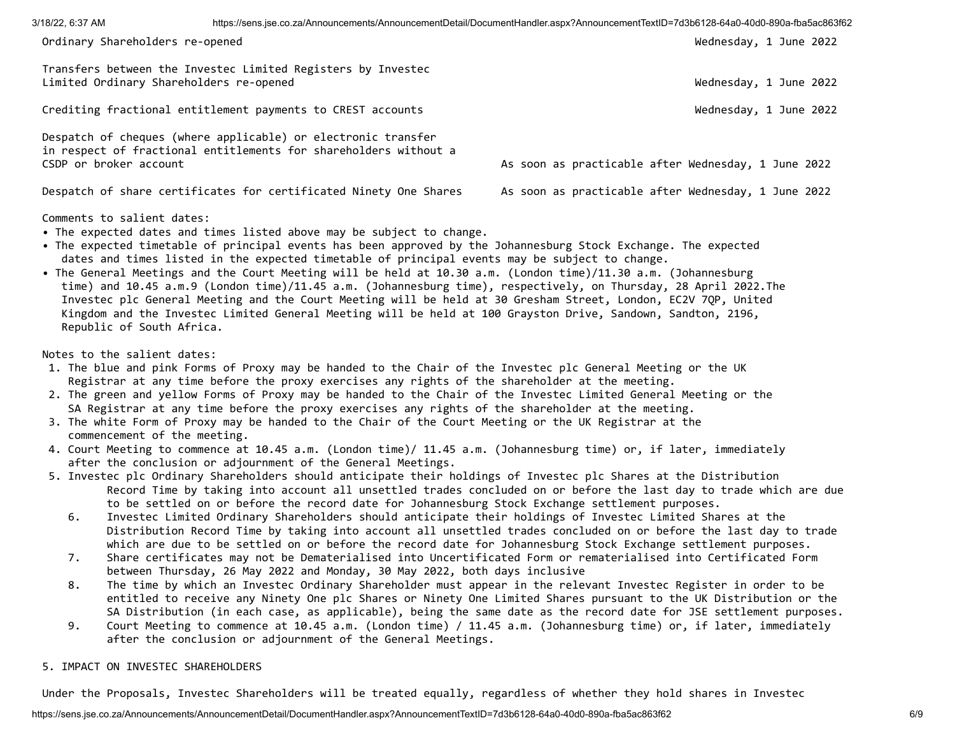| https://sens.jse.co.za/Announcements/AnnouncementDetail/DocumentHandler.aspx?AnnouncementTextID=7d3b6128-64a0-40d0-890a-fba5ac863f62<br>3/18/22, 6:37 AM |                                                                                                                                   |                                                     |  |
|----------------------------------------------------------------------------------------------------------------------------------------------------------|-----------------------------------------------------------------------------------------------------------------------------------|-----------------------------------------------------|--|
| Ordinary Shareholders re-opened                                                                                                                          |                                                                                                                                   | Wednesday, 1 June 2022                              |  |
| Limited Ordinary Shareholders re-opened                                                                                                                  | Transfers between the Investec Limited Registers by Investec                                                                      | Wednesday, 1 June 2022                              |  |
|                                                                                                                                                          | Crediting fractional entitlement payments to CREST accounts                                                                       | Wednesday, 1 June 2022                              |  |
| CSDP or broker account                                                                                                                                   | Despatch of cheques (where applicable) or electronic transfer<br>in respect of fractional entitlements for shareholders without a | As soon as practicable after Wednesday, 1 June 2022 |  |
|                                                                                                                                                          | Despatch of share certificates for certificated Ninety One Shares                                                                 | As soon as practicable after Wednesday, 1 June 2022 |  |
| Comments to salient dates:                                                                                                                               | • The expected dates and times listed above may be subject to change.                                                             |                                                     |  |

- The expected timetable of principal events has been approved by the Johannesburg Stock Exchange. The expected dates and times listed in the expected timetable of principal events may be subject to change.
- The General Meetings and the Court Meeting will be held at 10.30 a.m. (London time)/11.30 a.m. (Johannesburg time) and 10.45 a.m.9 (London time)/11.45 a.m. (Johannesburg time), respectively, on Thursday, 28 April 2022.The Investec plc General Meeting and the Court Meeting will be held at 30 Gresham Street, London, EC2V 7QP, United Kingdom and the Investec Limited General Meeting will be held at 100 Grayston Drive, Sandown, Sandton, 2196, Republic of South Africa.

Notes to the salient dates:

- 1. The blue and pink Forms of Proxy may be handed to the Chair of the Investec plc General Meeting or the UK Registrar at any time before the proxy exercises any rights of the shareholder at the meeting.
- 2. The green and yellow Forms of Proxy may be handed to the Chair of the Investec Limited General Meeting or the SA Registrar at any time before the proxy exercises any rights of the shareholder at the meeting.
- 3. The white Form of Proxy may be handed to the Chair of the Court Meeting or the UK Registrar at the commencement of the meeting.
- 4. Court Meeting to commence at 10.45 a.m. (London time)/ 11.45 a.m. (Johannesburg time) or, if later, immediately after the conclusion or adjournment of the General Meetings.
- 5. Investec plc Ordinary Shareholders should anticipate their holdings of Investec plc Shares at the Distribution Record Time by taking into account all unsettled trades concluded on or before the last day to trade which are due to be settled on or before the record date for Johannesburg Stock Exchange settlement purposes.
	- 6. Investec Limited Ordinary Shareholders should anticipate their holdings of Investec Limited Shares at the Distribution Record Time by taking into account all unsettled trades concluded on or before the last day to trade which are due to be settled on or before the record date for Johannesburg Stock Exchange settlement purposes.
	- 7. Share certificates may not be Dematerialised into Uncertificated Form or rematerialised into Certificated Form between Thursday, 26 May 2022 and Monday, 30 May 2022, both days inclusive
	- 8. The time by which an Investec Ordinary Shareholder must appear in the relevant Investec Register in order to be entitled to receive any Ninety One plc Shares or Ninety One Limited Shares pursuant to the UK Distribution or the SA Distribution (in each case, as applicable), being the same date as the record date for JSE settlement purposes.
	- 9. Court Meeting to commence at 10.45 a.m. (London time) / 11.45 a.m. (Johannesburg time) or, if later, immediately after the conclusion or adjournment of the General Meetings.

# 5. IMPACT ON INVESTEC SHAREHOLDERS

Under the Proposals, Investec Shareholders will be treated equally, regardless of whether they hold shares in Investec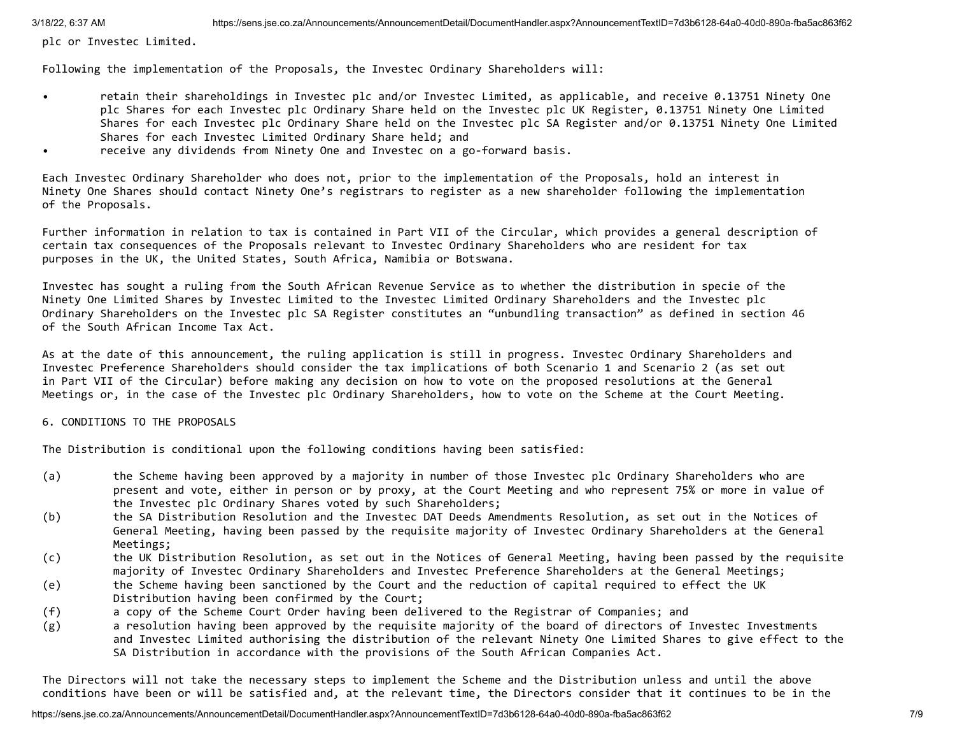plc or Investec Limited.

Following the implementation of the Proposals, the Investec Ordinary Shareholders will:

- retain their shareholdings in Investec plc and/or Investec Limited, as applicable, and receive 0.13751 Ninety One plc Shares for each Investec plc Ordinary Share held on the Investec plc UK Register, 0.13751 Ninety One Limited Shares for each Investec plc Ordinary Share held on the Investec plc SA Register and/or 0.13751 Ninety One Limited Shares for each Investec Limited Ordinary Share held; and
- receive any dividends from Ninety One and Investec on a go-forward basis.

Each Investec Ordinary Shareholder who does not, prior to the implementation of the Proposals, hold an interest in Ninety One Shares should contact Ninety One's registrars to register as a new shareholder following the implementation of the Proposals.

Further information in relation to tax is contained in Part VII of the Circular, which provides a general description of certain tax consequences of the Proposals relevant to Investec Ordinary Shareholders who are resident for tax purposes in the UK, the United States, South Africa, Namibia or Botswana.

Investec has sought a ruling from the South African Revenue Service as to whether the distribution in specie of the Ninety One Limited Shares by Investec Limited to the Investec Limited Ordinary Shareholders and the Investec plc Ordinary Shareholders on the Investec plc SA Register constitutes an "unbundling transaction" as defined in section 46 of the South African Income Tax Act.

As at the date of this announcement, the ruling application is still in progress. Investec Ordinary Shareholders and Investec Preference Shareholders should consider the tax implications of both Scenario 1 and Scenario 2 (as set out in Part VII of the Circular) before making any decision on how to vote on the proposed resolutions at the General Meetings or, in the case of the Investec plc Ordinary Shareholders, how to vote on the Scheme at the Court Meeting.

## 6. CONDITIONS TO THE PROPOSALS

The Distribution is conditional upon the following conditions having been satisfied:

- (a) the Scheme having been approved by a majority in number of those Investec plc Ordinary Shareholders who are present and vote, either in person or by proxy, at the Court Meeting and who represent 75% or more in value of the Investec plc Ordinary Shares voted by such Shareholders;
- (b) the SA Distribution Resolution and the Investec DAT Deeds Amendments Resolution, as set out in the Notices of General Meeting, having been passed by the requisite majority of Investec Ordinary Shareholders at the General Meetings;
- (c) the UK Distribution Resolution, as set out in the Notices of General Meeting, having been passed by the requisite majority of Investec Ordinary Shareholders and Investec Preference Shareholders at the General Meetings;
- (e) the Scheme having been sanctioned by the Court and the reduction of capital required to effect the UK Distribution having been confirmed by the Court;
- (f) a copy of the Scheme Court Order having been delivered to the Registrar of Companies; and
- (g) a resolution having been approved by the requisite majority of the board of directors of Investec Investments and Investec Limited authorising the distribution of the relevant Ninety One Limited Shares to give effect to the SA Distribution in accordance with the provisions of the South African Companies Act.

The Directors will not take the necessary steps to implement the Scheme and the Distribution unless and until the above conditions have been or will be satisfied and, at the relevant time, the Directors consider that it continues to be in the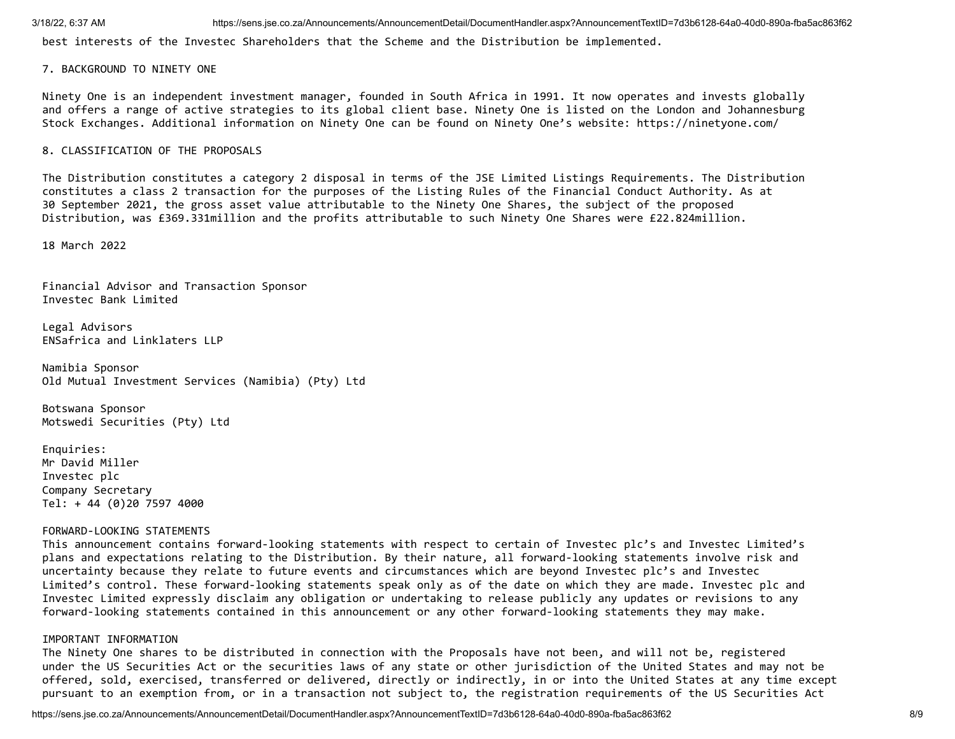best interests of the Investec Shareholders that the Scheme and the Distribution be implemented.

### 7. BACKGROUND TO NINETY ONE

Ninety One is an independent investment manager, founded in South Africa in 1991. It now operates and invests globally and offers a range of active strategies to its global client base. Ninety One is listed on the London and Johannesburg Stock Exchanges. Additional information on Ninety One can be found on Ninety One's website: https://ninetyone.com/

### 8. CLASSIFICATION OF THE PROPOSALS

The Distribution constitutes a category 2 disposal in terms of the JSE Limited Listings Requirements. The Distribution constitutes a class 2 transaction for the purposes of the Listing Rules of the Financial Conduct Authority. As at 30 September 2021, the gross asset value attributable to the Ninety One Shares, the subject of the proposed Distribution, was £369.331million and the profits attributable to such Ninety One Shares were £22.824million.

18 March 2022

Financial Advisor and Transaction Sponsor Investec Bank Limited

Legal Advisors ENSafrica and Linklaters LLP

Namibia Sponsor Old Mutual Investment Services (Namibia) (Pty) Ltd

Botswana Sponsor Motswedi Securities (Pty) Ltd

Enquiries: Mr David Miller Investec plc Company Secretary Tel: + 44 (0)20 7597 4000

### FORWARD-LOOKING STATEMENTS

This announcement contains forward-looking statements with respect to certain of Investec plc's and Investec Limited's plans and expectations relating to the Distribution. By their nature, all forward-looking statements involve risk and uncertainty because they relate to future events and circumstances which are beyond Investec plc's and Investec Limited's control. These forward-looking statements speak only as of the date on which they are made. Investec plc and Investec Limited expressly disclaim any obligation or undertaking to release publicly any updates or revisions to any forward-looking statements contained in this announcement or any other forward-looking statements they may make.

### IMPORTANT INFORMATION

The Ninety One shares to be distributed in connection with the Proposals have not been, and will not be, registered under the US Securities Act or the securities laws of any state or other jurisdiction of the United States and may not be offered, sold, exercised, transferred or delivered, directly or indirectly, in or into the United States at any time except pursuant to an exemption from, or in a transaction not subject to, the registration requirements of the US Securities Act